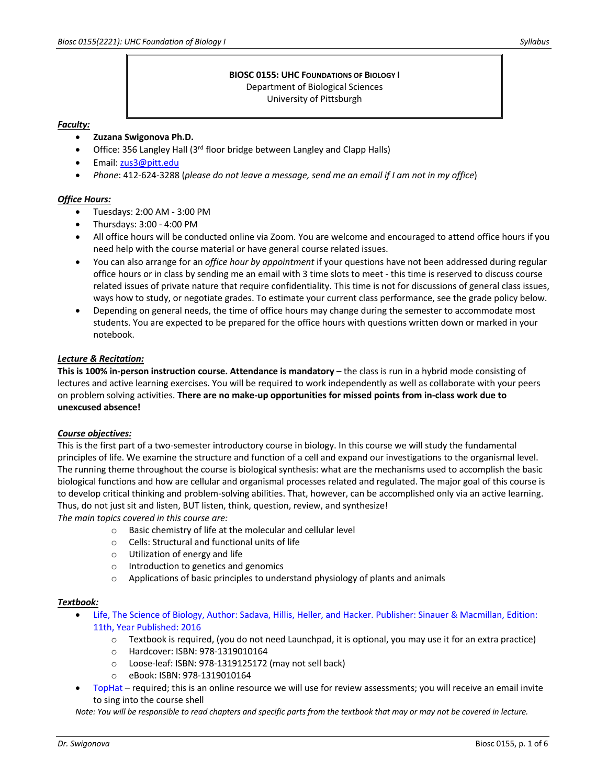# **BIOSC 0155: UHC FOUNDATIONS OF BIOLOGY I** Department of Biological Sciences

University of Pittsburgh

### *Faculty:*

- **Zuzana Swigonova Ph.D.**
- Office: 356 Langley Hall (3<sup>rd</sup> floor bridge between Langley and Clapp Halls)
- Email: zus3@pitt.edu
- *Phone*: 412-624-3288 (*please do not leave a message, send me an email if I am not in my office*)

# *Office Hours:*

- Tuesdays: 2:00 AM 3:00 PM
- Thursdays: 3:00 4:00 PM
- All office hours will be conducted online via Zoom. You are welcome and encouraged to attend office hours if you need help with the course material or have general course related issues.
- You can also arrange for an *office hour by appointment* if your questions have not been addressed during regular office hours or in class by sending me an email with 3 time slots to meet - this time is reserved to discuss course related issues of private nature that require confidentiality. This time is not for discussions of general class issues, ways how to study, or negotiate grades. To estimate your current class performance, see the grade policy below.
- Depending on general needs, the time of office hours may change during the semester to accommodate most students. You are expected to be prepared for the office hours with questions written down or marked in your notebook.

# *Lecture & Recitation:*

**This is 100% in-person instruction course. Attendance is mandatory** – the class is run in a hybrid mode consisting of lectures and active learning exercises. You will be required to work independently as well as collaborate with your peers on problem solving activities. **There are no make-up opportunities for missed points from in-class work due to unexcused absence!**

# *Course objectives:*

This is the first part of a two-semester introductory course in biology. In this course we will study the fundamental principles of life. We examine the structure and function of a cell and expand our investigations to the organismal level. The running theme throughout the course is biological synthesis: what are the mechanisms used to accomplish the basic biological functions and how are cellular and organismal processes related and regulated. The major goal of this course is to develop critical thinking and problem-solving abilities. That, however, can be accomplished only via an active learning. Thus, do not just sit and listen, BUT listen, think, question, review, and synthesize!

*The main topics covered in this course are:*

- o Basic chemistry of life at the molecular and cellular level
- o Cells: Structural and functional units of life
- o Utilization of energy and life
- o Introduction to genetics and genomics
- $\circ$  Applications of basic principles to understand physiology of plants and animals

# *Textbook:*

- Life, The Science of Biology, Author: Sadava, Hillis, Heller, and Hacker. Publisher: Sinauer & Macmillan, Edition: 11th, Year Published: 2016
	- $\circ$  Textbook is required, (you do not need Launchpad, it is optional, you may use it for an extra practice)
	- o Hardcover: ISBN: 978-1319010164
	- o Loose-leaf: ISBN: 978-1319125172 (may not sell back)
	- o eBook: ISBN: 978-1319010164
- TopHat required; this is an online resource we will use for review assessments; you will receive an email invite to sing into the course shell

*Note: You will be responsible to read chapters and specific parts from the textbook that may or may not be covered in lecture.*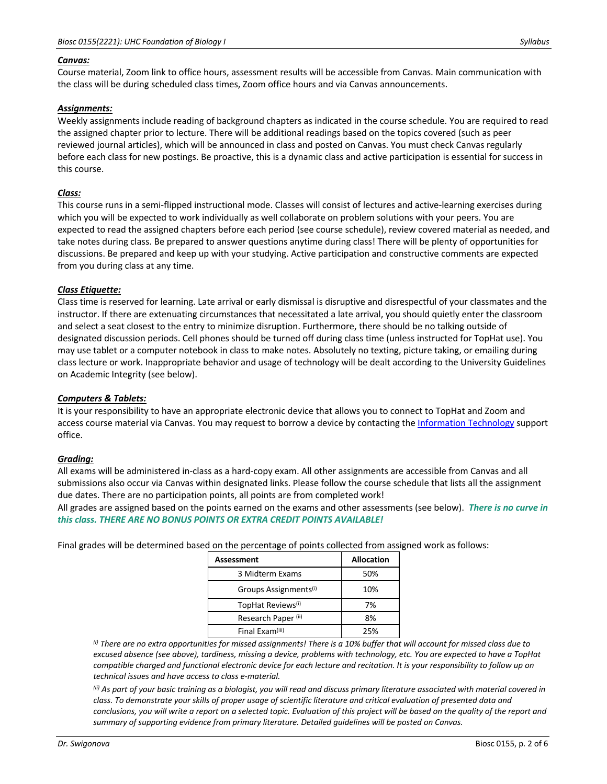#### *Canvas:*

Course material, Zoom link to office hours, assessment results will be accessible from Canvas. Main communication with the class will be during scheduled class times, Zoom office hours and via Canvas announcements.

### *Assignments:*

Weekly assignments include reading of background chapters as indicated in the course schedule. You are required to read the assigned chapter prior to lecture. There will be additional readings based on the topics covered (such as peer reviewed journal articles), which will be announced in class and posted on Canvas. You must check Canvas regularly before each class for new postings. Be proactive, this is a dynamic class and active participation is essential for success in this course.

### *Class:*

This course runs in a semi-flipped instructional mode. Classes will consist of lectures and active-learning exercises during which you will be expected to work individually as well collaborate on problem solutions with your peers. You are expected to read the assigned chapters before each period (see course schedule), review covered material as needed, and take notes during class. Be prepared to answer questions anytime during class! There will be plenty of opportunities for discussions. Be prepared and keep up with your studying. Active participation and constructive comments are expected from you during class at any time.

#### *Class Etiquette:*

Class time is reserved for learning. Late arrival or early dismissal is disruptive and disrespectful of your classmates and the instructor. If there are extenuating circumstances that necessitated a late arrival, you should quietly enter the classroom and select a seat closest to the entry to minimize disruption. Furthermore, there should be no talking outside of designated discussion periods. Cell phones should be turned off during class time (unless instructed for TopHat use). You may use tablet or a computer notebook in class to make notes. Absolutely no texting, picture taking, or emailing during class lecture or work. Inappropriate behavior and usage of technology will be dealt according to the University Guidelines on Academic Integrity (see below).

# *Computers & Tablets:*

It is your responsibility to have an appropriate electronic device that allows you to connect to TopHat and Zoom and access course material via Canvas. You may request to borrow a device by contacting the Information Technology support office.

#### *Grading:*

All exams will be administered in-class as a hard-copy exam. All other assignments are accessible from Canvas and all submissions also occur via Canvas within designated links. Please follow the course schedule that lists all the assignment due dates. There are no participation points, all points are from completed work!

All grades are assigned based on the points earned on the exams and other assessments (see below). *There is no curve in this class. THERE ARE NO BONUS POINTS OR EXTRA CREDIT POINTS AVAILABLE!*

Final grades will be determined based on the percentage of points collected from assigned work as follows:

| Assessment                        | <b>Allocation</b> |
|-----------------------------------|-------------------|
| 3 Midterm Exams                   | 50%               |
| Groups Assignments <sup>(i)</sup> | 10%               |
| TopHat Reviews <sup>(i)</sup>     | 7%                |
| Research Paper <sup>(ii)</sup>    | 8%                |
| Final Exam(iii)                   | 25%               |

*(i) There are no extra opportunities for missed assignments! There is a 10% buffer that will account for missed class due to excused absence (see above), tardiness, missing a device, problems with technology, etc. You are expected to have a TopHat compatible charged and functional electronic device for each lecture and recitation. It is your responsibility to follow up on technical issues and have access to class e-material.*

*(ii) As part of your basic training as a biologist, you will read and discuss primary literature associated with material covered in class. To demonstrate your skills of proper usage of scientific literature and critical evaluation of presented data and conclusions, you will write a report on a selected topic. Evaluation of this project will be based on the quality of the report and summary of supporting evidence from primary literature. Detailed guidelines will be posted on Canvas.*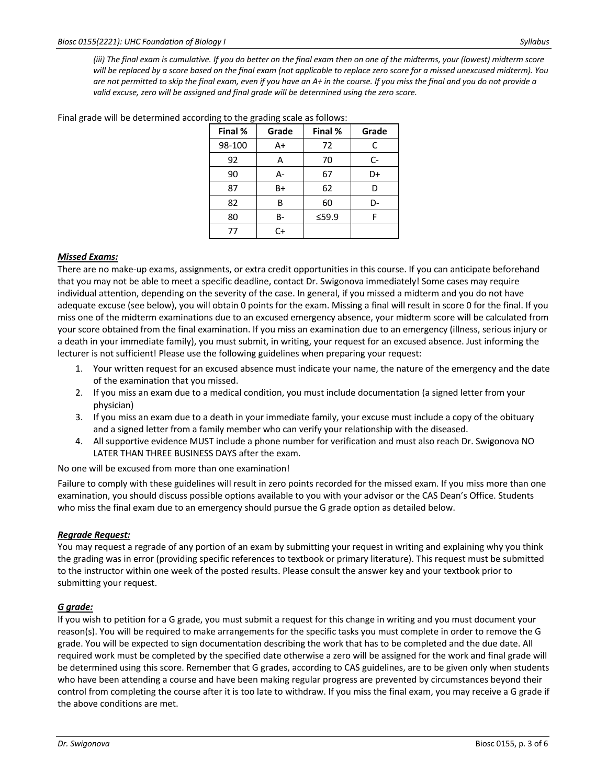*(iii) The final exam is cumulative. If you do better on the final exam then on one of the midterms, your (lowest) midterm score will be replaced by a score based on the final exam (not applicable to replace zero score for a missed unexcused midterm). You are not permitted to skip the final exam, even if you have an A+ in the course. If you miss the final and you do not provide a valid excuse, zero will be assigned and final grade will be determined using the zero score.*

| Final % | Grade | Final % | Grade |
|---------|-------|---------|-------|
| 98-100  | A+    | 72      | C     |
| 92      | A     | 70      | C-    |
| 90      | А-    | 67      | D+    |
| 87      | B+    | 62      | D     |
| 82      | B     | 60      | D-    |
| 80      | В-    | ≤59.9   | F     |
| 77      | $C+$  |         |       |

Final grade will be determined according to the grading scale as follows:

### *Missed Exams:*

There are no make-up exams, assignments, or extra credit opportunities in this course. If you can anticipate beforehand that you may not be able to meet a specific deadline, contact Dr. Swigonova immediately! Some cases may require individual attention, depending on the severity of the case. In general, if you missed a midterm and you do not have adequate excuse (see below), you will obtain 0 points for the exam. Missing a final will result in score 0 for the final. If you miss one of the midterm examinations due to an excused emergency absence, your midterm score will be calculated from your score obtained from the final examination. If you miss an examination due to an emergency (illness, serious injury or a death in your immediate family), you must submit, in writing, your request for an excused absence. Just informing the lecturer is not sufficient! Please use the following guidelines when preparing your request:

- 1. Your written request for an excused absence must indicate your name, the nature of the emergency and the date of the examination that you missed.
- 2. If you miss an exam due to a medical condition, you must include documentation (a signed letter from your physician)
- 3. If you miss an exam due to a death in your immediate family, your excuse must include a copy of the obituary and a signed letter from a family member who can verify your relationship with the diseased.
- 4. All supportive evidence MUST include a phone number for verification and must also reach Dr. Swigonova NO LATER THAN THREE BUSINESS DAYS after the exam.

No one will be excused from more than one examination!

Failure to comply with these guidelines will result in zero points recorded for the missed exam. If you miss more than one examination, you should discuss possible options available to you with your advisor or the CAS Dean's Office. Students who miss the final exam due to an emergency should pursue the G grade option as detailed below.

#### *Regrade Request:*

You may request a regrade of any portion of an exam by submitting your request in writing and explaining why you think the grading was in error (providing specific references to textbook or primary literature). This request must be submitted to the instructor within one week of the posted results. Please consult the answer key and your textbook prior to submitting your request.

# *G grade:*

If you wish to petition for a G grade, you must submit a request for this change in writing and you must document your reason(s). You will be required to make arrangements for the specific tasks you must complete in order to remove the G grade. You will be expected to sign documentation describing the work that has to be completed and the due date. All required work must be completed by the specified date otherwise a zero will be assigned for the work and final grade will be determined using this score. Remember that G grades, according to CAS guidelines, are to be given only when students who have been attending a course and have been making regular progress are prevented by circumstances beyond their control from completing the course after it is too late to withdraw. If you miss the final exam, you may receive a G grade if the above conditions are met.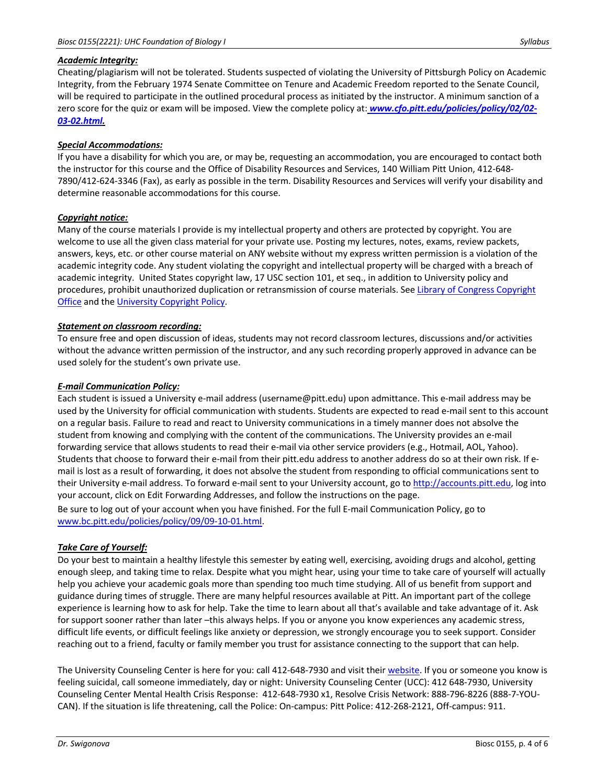### *Academic Integrity:*

Cheating/plagiarism will not be tolerated. Students suspected of violating the University of Pittsburgh Policy on Academic Integrity, from the February 1974 Senate Committee on Tenure and Academic Freedom reported to the Senate Council, will be required to participate in the outlined procedural process as initiated by the instructor. A minimum sanction of a zero score for the quiz or exam will be imposed. View the complete policy at: *www.cfo.pitt.edu/policies/policy/02/02- 03-02.html.*

### *Special Accommodations:*

If you have a disability for which you are, or may be, requesting an accommodation, you are encouraged to contact both the instructor for this course and the Office of Disability Resources and Services, 140 William Pitt Union, 412-648- 7890/412-624-3346 (Fax), as early as possible in the term. Disability Resources and Services will verify your disability and determine reasonable accommodations for this course.

### *Copyright notice:*

Many of the course materials I provide is my intellectual property and others are protected by copyright. You are welcome to use all the given class material for your private use. Posting my lectures, notes, exams, review packets, answers, keys, etc. or other course material on ANY website without my express written permission is a violation of the academic integrity code. Any student violating the copyright and intellectual property will be charged with a breach of academic integrity. United States copyright law, 17 USC section 101, et seq., in addition to University policy and procedures, prohibit unauthorized duplication or retransmission of course materials. See Library of Congress Copyright Office and the University Copyright Policy.

### *Statement on classroom recording:*

To ensure free and open discussion of ideas, students may not record classroom lectures, discussions and/or activities without the advance written permission of the instructor, and any such recording properly approved in advance can be used solely for the student's own private use.

### *E-mail Communication Policy:*

Each student is issued a University e-mail address (username@pitt.edu) upon admittance. This e-mail address may be used by the University for official communication with students. Students are expected to read e-mail sent to this account on a regular basis. Failure to read and react to University communications in a timely manner does not absolve the student from knowing and complying with the content of the communications. The University provides an e-mail forwarding service that allows students to read their e-mail via other service providers (e.g., Hotmail, AOL, Yahoo). Students that choose to forward their e-mail from their pitt.edu address to another address do so at their own risk. If email is lost as a result of forwarding, it does not absolve the student from responding to official communications sent to their University e-mail address. To forward e-mail sent to your University account, go to http://accounts.pitt.edu, log into your account, click on Edit Forwarding Addresses, and follow the instructions on the page.

Be sure to log out of your account when you have finished. For the full E-mail Communication Policy, go to www.bc.pitt.edu/policies/policy/09/09-10-01.html.

# *Take Care of Yourself:*

Do your best to maintain a healthy lifestyle this semester by eating well, exercising, avoiding drugs and alcohol, getting enough sleep, and taking time to relax. Despite what you might hear, using your time to take care of yourself will actually help you achieve your academic goals more than spending too much time studying. All of us benefit from support and guidance during times of struggle. There are many helpful resources available at Pitt. An important part of the college experience is learning how to ask for help. Take the time to learn about all that's available and take advantage of it. Ask for support sooner rather than later –this always helps. If you or anyone you know experiences any academic stress, difficult life events, or difficult feelings like anxiety or depression, we strongly encourage you to seek support. Consider reaching out to a friend, faculty or family member you trust for assistance connecting to the support that can help.

The University Counseling Center is here for you: call 412-648-7930 and visit their website. If you or someone you know is feeling suicidal, call someone immediately, day or night: University Counseling Center (UCC): 412 648-7930, University Counseling Center Mental Health Crisis Response: 412-648-7930 x1, Resolve Crisis Network: 888-796-8226 (888-7-YOU-CAN). If the situation is life threatening, call the Police: On-campus: Pitt Police: 412-268-2121, Off-campus: 911.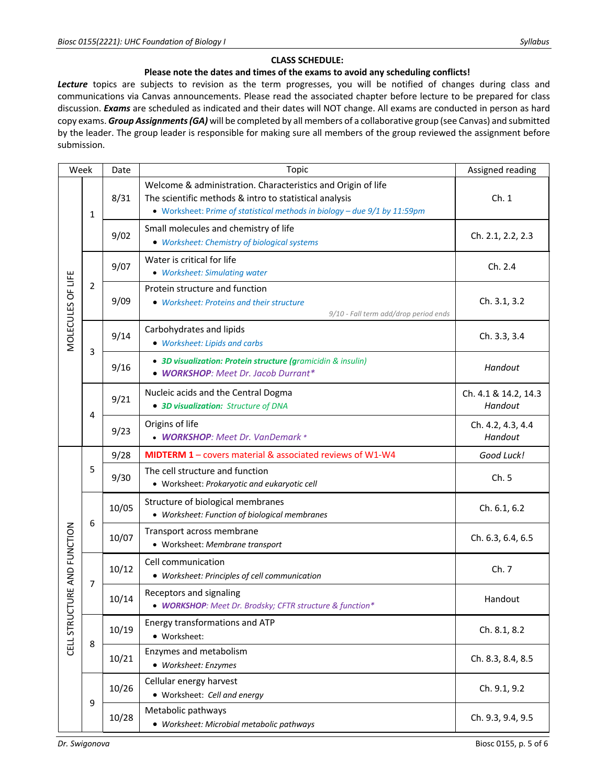# **CLASS SCHEDULE:**

### **Please note the dates and times of the exams to avoid any scheduling conflicts!**

*Lecture* topics are subjects to revision as the term progresses, you will be notified of changes during class and communications via Canvas announcements. Please read the associated chapter before lecture to be prepared for class discussion. *Exams* are scheduled as indicated and their dates will NOT change. All exams are conducted in person as hard copy exams. *Group Assignments (GA)* will be completed by all members of a collaborative group (see Canvas) and submitted by the leader. The group leader is responsible for making sure all members of the group reviewed the assignment before submission.

| Week                            |                | Date  | Topic                                                                                                                                                                                               | Assigned reading                |
|---------------------------------|----------------|-------|-----------------------------------------------------------------------------------------------------------------------------------------------------------------------------------------------------|---------------------------------|
| MOLECULES OF LIFE               | $\mathbf{1}$   | 8/31  | Welcome & administration. Characteristics and Origin of life<br>The scientific methods & intro to statistical analysis<br>• Worksheet: Prime of statistical methods in biology - due 9/1 by 11:59pm | Ch.1                            |
|                                 |                | 9/02  | Small molecules and chemistry of life<br>• Worksheet: Chemistry of biological systems                                                                                                               | Ch. 2.1, 2.2, 2.3               |
|                                 | $\overline{2}$ | 9/07  | Water is critical for life<br>• Worksheet: Simulating water                                                                                                                                         | Ch. 2.4                         |
|                                 |                | 9/09  | Protein structure and function<br>• Worksheet: Proteins and their structure<br>9/10 - Fall term add/drop period ends                                                                                | Ch. 3.1, 3.2                    |
|                                 | 3              | 9/14  | Carbohydrates and lipids<br>• Worksheet: Lipids and carbs                                                                                                                                           | Ch. 3.3, 3.4                    |
|                                 |                | 9/16  | • 3D visualization: Protein structure (gramicidin & insulin)<br>• WORKSHOP: Meet Dr. Jacob Durrant*                                                                                                 | Handout                         |
|                                 | 4              | 9/21  | Nucleic acids and the Central Dogma<br>• 3D visualization: Structure of DNA                                                                                                                         | Ch. 4.1 & 14.2, 14.3<br>Handout |
|                                 |                | 9/23  | Origins of life<br>• WORKSHOP: Meet Dr. VanDemark *                                                                                                                                                 | Ch. 4.2, 4.3, 4.4<br>Handout    |
|                                 | 5              | 9/28  | MIDTERM 1 - covers material & associated reviews of W1-W4                                                                                                                                           | Good Luck!                      |
| TURE AND FUNCTION<br>CELL STRUC |                | 9/30  | The cell structure and function<br>• Worksheet: Prokaryotic and eukaryotic cell                                                                                                                     | Ch.5                            |
|                                 | 6              | 10/05 | Structure of biological membranes<br>• Worksheet: Function of biological membranes                                                                                                                  | Ch. 6.1, 6.2                    |
|                                 |                | 10/07 | Transport across membrane<br>• Worksheet: Membrane transport                                                                                                                                        | Ch. 6.3, 6.4, 6.5               |
|                                 | $\overline{7}$ | 10/12 | Cell communication<br>• Worksheet: Principles of cell communication                                                                                                                                 | Ch.7                            |
|                                 |                | 10/14 | Receptors and signaling<br>• <b>WORKSHOP</b> : Meet Dr. Brodsky; CFTR structure & function*                                                                                                         | Handout                         |
|                                 | 8              | 10/19 | Energy transformations and ATP<br>• Worksheet:                                                                                                                                                      | Ch. 8.1, 8.2                    |
|                                 |                | 10/21 | Enzymes and metabolism<br>• Worksheet: Enzymes                                                                                                                                                      | Ch. 8.3, 8.4, 8.5               |
|                                 | 9              | 10/26 | Cellular energy harvest<br>• Worksheet: Cell and energy                                                                                                                                             | Ch. 9.1, 9.2                    |
|                                 |                | 10/28 | Metabolic pathways<br>• Worksheet: Microbial metabolic pathways                                                                                                                                     | Ch. 9.3, 9.4, 9.5               |